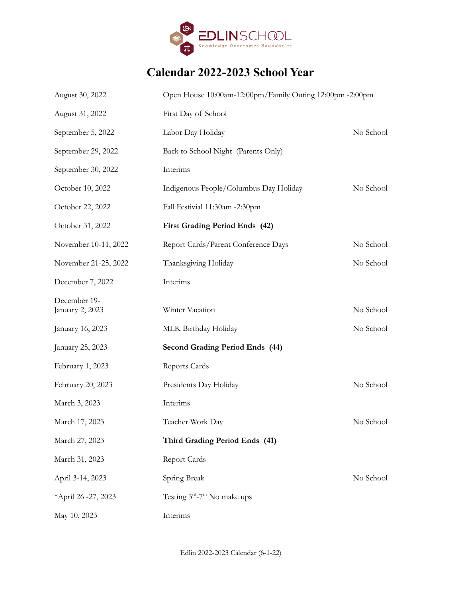

## **Calendar 2022-2023 School Year**

| August 30, 2022                 | Open House 10:00am-12:00pm/Family Outing 12:00pm -2:00pm |           |
|---------------------------------|----------------------------------------------------------|-----------|
| August 31, 2022                 | First Day of School                                      |           |
| September 5, 2022               | Labor Day Holiday                                        | No School |
| September 29, 2022              | Back to School Night (Parents Only)                      |           |
| September 30, 2022              | Interims                                                 |           |
| October 10, 2022                | Indigenous People/Columbus Day Holiday                   | No School |
| October 22, 2022                | Fall Festivial 11:30am -2:30pm                           |           |
| October 31, 2022                | <b>First Grading Period Ends (42)</b>                    |           |
| November 10-11, 2022            | Report Cards/Parent Conference Days                      | No School |
| November 21-25, 2022            | Thanksgiving Holiday                                     | No School |
| December 7, 2022                | Interims                                                 |           |
| December 19-<br>January 2, 2023 | Winter Vacation                                          | No School |
| January 16, 2023                | MLK Birthday Holiday                                     | No School |
| January 25, 2023                | Second Grading Period Ends (44)                          |           |
| February 1, 2023                | Reports Cards                                            |           |
| February 20, 2023               | Presidents Day Holiday                                   | No School |
| March 3, 2023                   | Interims                                                 |           |
| March 17, 2023                  | Teacher Work Day                                         | No School |
| March 27, 2023                  | Third Grading Period Ends (41)                           |           |
| March 31, 2023                  | Report Cards                                             |           |
| April 3-14, 2023                | Spring Break                                             | No School |
| *April 26 -27, 2023             | Testing 3rd-7 <sup>th</sup> No make ups                  |           |
| May 10, 2023                    | Interims                                                 |           |